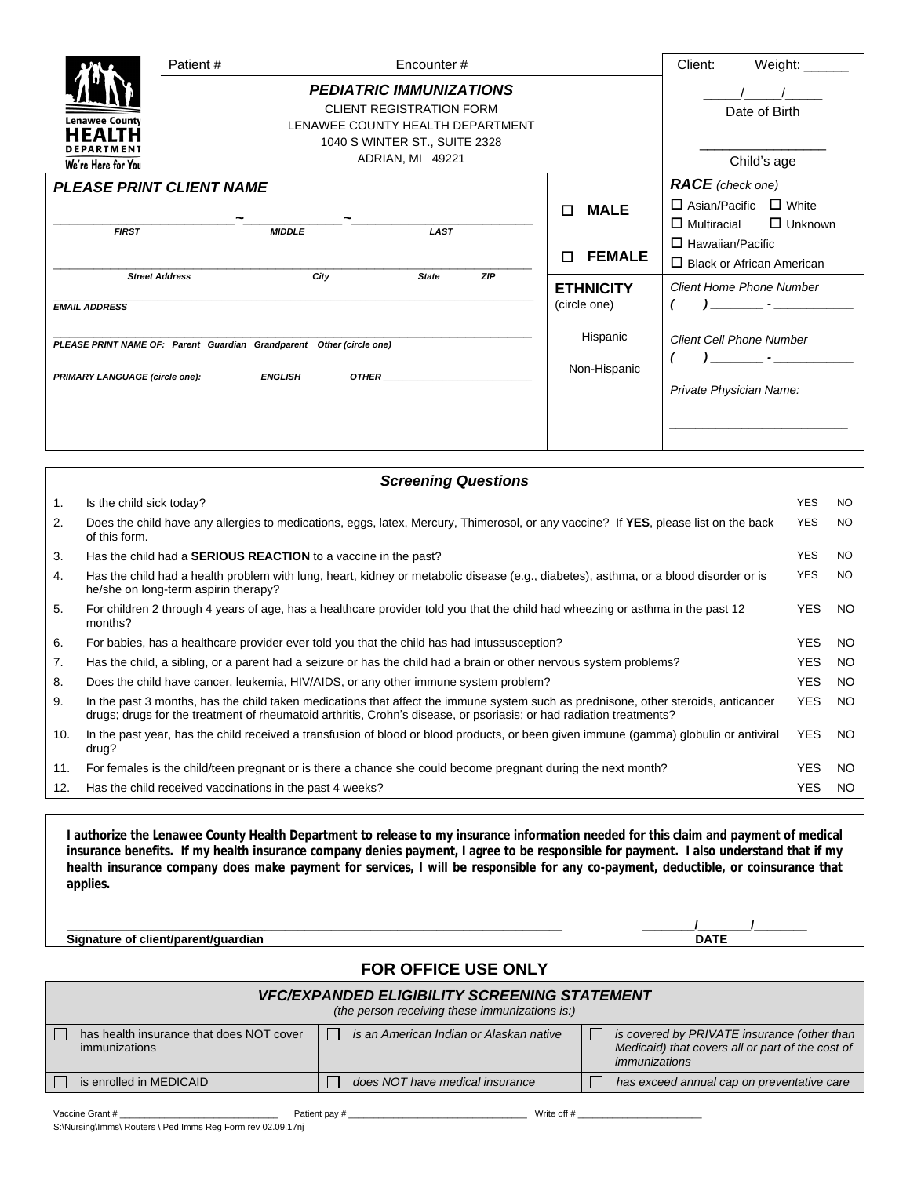|                                                                                                                                                 | Patient#<br>Encounter#                                                                                                                                     |      |                          | Client:                                                    | Weight:                          |                                                                                       |                |
|-------------------------------------------------------------------------------------------------------------------------------------------------|------------------------------------------------------------------------------------------------------------------------------------------------------------|------|--------------------------|------------------------------------------------------------|----------------------------------|---------------------------------------------------------------------------------------|----------------|
| <b>Lenawee County</b><br>HFAIT<br><b>DEPARTMENT</b><br>We're Here for You                                                                       | <b>PEDIATRIC IMMUNIZATIONS</b><br><b>CLIENT REGISTRATION FORM</b><br>LENAWEE COUNTY HEALTH DEPARTMENT<br>1040 S WINTER ST., SUITE 2328<br>ADRIAN, MI 49221 |      |                          |                                                            |                                  | Date of Birth<br>Child's age                                                          |                |
| <b>PLEASE PRINT CLIENT NAME</b>                                                                                                                 |                                                                                                                                                            |      |                          |                                                            | <b>MALE</b><br>п                 | <b>RACE</b> (check one)<br>$\Box$ Asian/Pacific<br>$\Box$ White<br>$\Box$ Multiracial |                |
| <b>FIRST</b>                                                                                                                                    | <b>MIDDLE</b>                                                                                                                                              |      | <b>LAST</b>              |                                                            | <b>FEMALE</b><br>п               | $\Box$ Hawaiian/Pacific<br>$\Box$ Black or African American                           | $\Box$ Unknown |
| <b>EMAIL ADDRESS</b>                                                                                                                            | <b>Street Address</b>                                                                                                                                      | City | <b>State</b>             | ZIP                                                        | <b>ETHNICITY</b><br>(circle one) | <b>Client Home Phone Number</b>                                                       |                |
| PLEASE PRINT NAME OF: Parent Guardian Grandparent Other (circle one)<br><b>ENGLISH</b><br><b>OTHER</b><br><b>PRIMARY LANGUAGE (circle one):</b> |                                                                                                                                                            |      | Hispanic<br>Non-Hispanic | <b>Client Cell Phone Number</b><br>Private Physician Name: |                                  |                                                                                       |                |
|                                                                                                                                                 |                                                                                                                                                            |      |                          |                                                            |                                  |                                                                                       |                |

| <b>Screening Questions</b> |                                                                                                                                                                                                                                                           |            |     |  |  |  |  |  |
|----------------------------|-----------------------------------------------------------------------------------------------------------------------------------------------------------------------------------------------------------------------------------------------------------|------------|-----|--|--|--|--|--|
| 1.                         | Is the child sick today?                                                                                                                                                                                                                                  | <b>YES</b> | NO. |  |  |  |  |  |
| 2.                         | Does the child have any allergies to medications, eggs, latex, Mercury, Thimerosol, or any vaccine? If YES, please list on the back<br>of this form.                                                                                                      | YES        | NO. |  |  |  |  |  |
| 3.                         | Has the child had a <b>SERIOUS REACTION</b> to a vaccine in the past?                                                                                                                                                                                     | YES.       | NO. |  |  |  |  |  |
| 4.                         | Has the child had a health problem with lung, heart, kidney or metabolic disease (e.g., diabetes), asthma, or a blood disorder or is<br>he/she on long-term aspirin therapy?                                                                              | <b>YES</b> | NO. |  |  |  |  |  |
| 5.                         | For children 2 through 4 years of age, has a healthcare provider told you that the child had wheezing or asthma in the past 12<br>months?                                                                                                                 | YES.       | NO. |  |  |  |  |  |
| 6.                         | For babies, has a healthcare provider ever told you that the child has had intussusception?                                                                                                                                                               | YES.       | NO. |  |  |  |  |  |
| 7.                         | Has the child, a sibling, or a parent had a seizure or has the child had a brain or other nervous system problems?                                                                                                                                        | YES.       | NO. |  |  |  |  |  |
| 8.                         | Does the child have cancer, leukemia, HIV/AIDS, or any other immune system problem?                                                                                                                                                                       | YES.       | NO. |  |  |  |  |  |
| 9.                         | In the past 3 months, has the child taken medications that affect the immune system such as prednisone, other steroids, anticancer<br>drugs; drugs for the treatment of rheumatoid arthritis, Crohn's disease, or psoriasis; or had radiation treatments? | <b>YES</b> | NO. |  |  |  |  |  |
| 10.                        | In the past year, has the child received a transfusion of blood or blood products, or been given immune (gamma) globulin or antiviral<br>drug?                                                                                                            | YES.       | NO. |  |  |  |  |  |
| 11.                        | For females is the child/teen pregnant or is there a chance she could become pregnant during the next month?                                                                                                                                              | YES.       | NO. |  |  |  |  |  |
| 12.                        | Has the child received vaccinations in the past 4 weeks?                                                                                                                                                                                                  | YES.       | NO. |  |  |  |  |  |

I authorize the Lenawee County Health Department to release to my insurance information needed for this claim and payment of medical insurance benefits. If my health insurance company denies payment, I agree to be responsible for payment. I also understand that if my health insurance company does make payment for services, I will be responsible for any co-payment, deductible, or coinsurance that **applies.** 

**Signature of client/parent/guardian DATE**

**\_\_\_\_\_\_\_\_\_\_\_\_\_\_\_\_\_\_\_\_\_\_\_\_\_\_\_\_\_\_\_\_\_\_\_\_\_\_\_\_\_\_\_\_\_\_\_\_\_\_\_\_\_\_\_\_\_\_\_\_\_\_\_\_\_\_\_\_\_\_\_\_\_\_\_ \_\_\_\_\_\_\_\_/\_\_\_\_\_\_\_\_/\_\_\_\_\_\_\_\_**

## **FOR OFFICE USE ONLY** *VFC/EXPANDED ELIGIBILITY SCREENING STATEMENT (the person receiving these immunizations is:)*  $\Box$ has health insurance that does NOT cover  $\Box$ *is an American Indian or Alaskan native is covered by PRIVATE insurance (other than* immunizations *Medicaid) that covers all or part of the cost of immunizations* is enrolled in MEDICAID *does NOT have medical insurance has exceed annual cap on preventative care* H

Vaccine Grant # \_\_\_\_\_\_\_\_\_\_\_\_\_\_\_\_\_\_\_\_\_\_\_\_\_\_\_\_\_\_\_\_ Patient pay # \_\_\_\_\_\_\_\_\_\_\_\_\_\_\_\_\_\_\_\_\_\_\_\_\_\_\_\_\_\_\_\_\_\_\_\_ Write off # \_\_\_\_\_\_\_\_\_\_\_\_\_\_\_\_\_\_\_\_\_\_\_\_\_ S:\Nursing\Imms\ Routers \ Ped Imms Reg Form rev 02.09.17nj